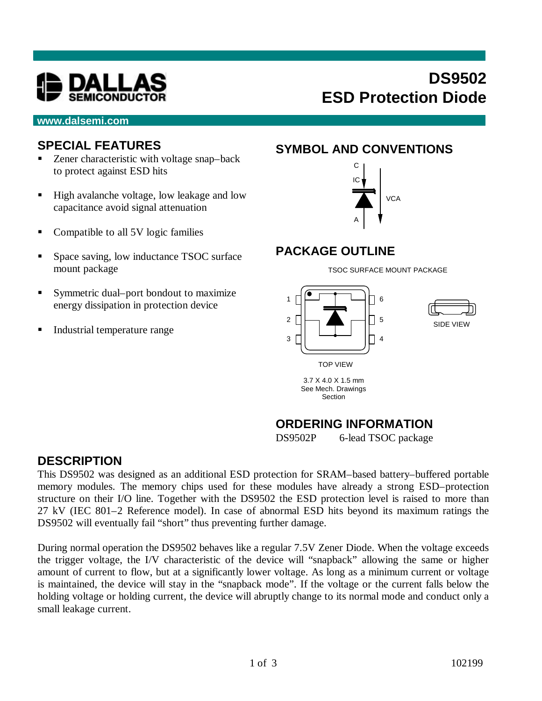

# **DS9502 ESD Protection Diode**

#### **www.dalsemi.com**

#### **SPECIAL FEATURES**

- $\blacksquare$  Zener characteristic with voltage snap–back to protect against ESD hits
- High avalanche voltage, low leakage and low capacitance avoid signal attenuation
- Compatible to all 5V logic families
- Space saving, low inductance TSOC surface mount package
- Symmetric dual–port bondout to maximize energy dissipation in protection device
- **Industrial temperature range**

### **SYMBOL AND CONVENTIONS**



#### **PACKAGE OUTLINE**



## **ORDERING INFORMATION**

DS9502P 6-lead TSOC package

#### **DESCRIPTION**

This DS9502 was designed as an additional ESD protection for SRAM–based battery–buffered portable memory modules. The memory chips used for these modules have already a strong ESD–protection structure on their I/O line. Together with the DS9502 the ESD protection level is raised to more than 27 kV (IEC 801–2 Reference model). In case of abnormal ESD hits beyond its maximum ratings the DS9502 will eventually fail "short" thus preventing further damage.

During normal operation the DS9502 behaves like a regular 7.5V Zener Diode. When the voltage exceeds the trigger voltage, the I/V characteristic of the device will "snapback" allowing the same or higher amount of current to flow, but at a significantly lower voltage. As long as a minimum current or voltage is maintained, the device will stay in the "snapback mode". If the voltage or the current falls below the holding voltage or holding current, the device will abruptly change to its normal mode and conduct only a small leakage current.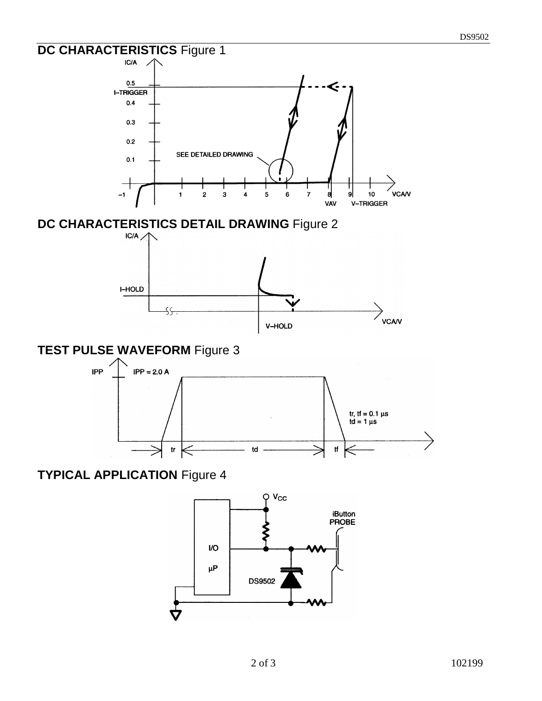